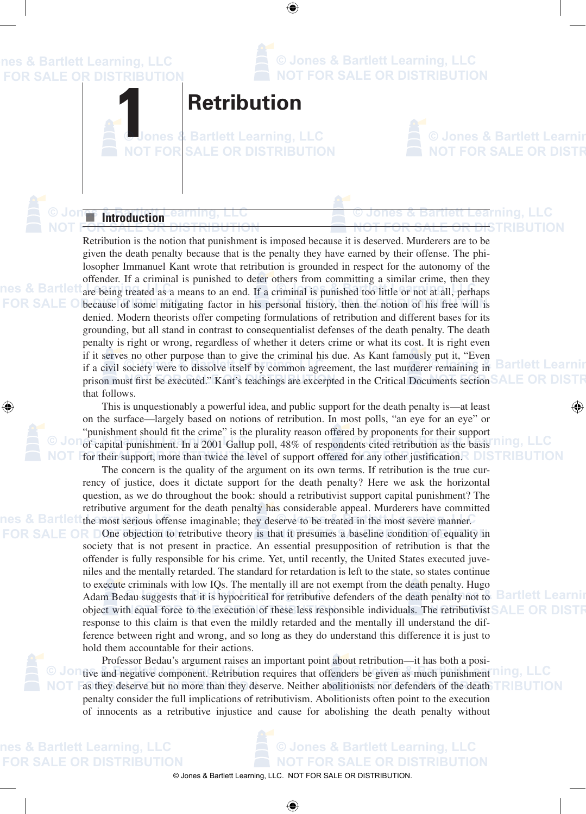# **Retribution 1 NOT FOR SALE OR DISTRIBUTION © Jones & Bartlett Learning, LLC NOT FOR SALE OR DISTRIBUTION**

# **Introduction** <u>Note that the sales of the sales of the sales of the sales of the sales of the sales of the sales of the sales of the sales of the sales of the sales of the sales of the sales of the sales of the sales of the sales of the</u>

Retribution is the notion that punishment is imposed because it is deserved. Murderers are to be given the death penalty because that is the penalty they have earned by their offense. The philosopher Immanuel Kant wrote that retribution is grounded in respect for the autonomy of the offender. If a criminal is punished to deter others from committing a similar crime, then they are being treated as a means to an end. If a criminal is punished too little or not at all, perhaps because of some mitigating factor in his personal history, then the notion of his free will is denied. Modern theorists offer competing formulations of retribution and different bases for its grounding, but all stand in contrast to consequentialist defenses of the death penalty. The death penalty is right or wrong, regardless of whether it deters crime or what its cost. It is right even if it serves no other purpose than to give the criminal his due. As Kant famously put it, "Even If a civil society were to dissolve itself by common agreement, the last murderer remaining in prison must first be executed." Kant's teachings are excerpted in the Critical Documents section that follows.

**© Jones & Bartlett Learning, LLC** <u>Not begin a strategic product of the strategic product</u>

This is unquestionably a powerful idea, and public support for the death penalty is—at least on the surface—largely based on notions of retribution. In most polls, "an eye for an eye" or "punishment should fit the crime" is the plurality reason offered by proponents for their support of capital punishment. In a 2001 Gallup poll, 48% of respondents cited retribution as the basis for their support, more than twice the level of support offered for any other justification.

The concern is the quality of the argument on its own terms. If retribution is the true currency of justice, does it dictate support for the death penalty? Here we ask the horizontal question, as we do throughout the book: should a retributivist support capital punishment? The retributive argument for the death penalty has considerable appeal. Murderers have committed the most serious offense imaginable; they deserve to be treated in the most severe manner.

One objection to retributive theory is that it presumes a baseline condition of equality in society that is not present in practice. An essential presupposition of retribution is that the offender is fully responsible for his crime. Yet, until recently, the United States executed juveniles and the mentally retarded. The standard for retardation is left to the state, so states continue to execute criminals with low IQs. The mentally ill are not exempt from the death penalty. Hugo Adam Bedau suggests that it is hypocritical for retributive defenders of the death penalty not to object with equal force to the execution of these less responsible individuals. The retributivist response to this claim is that even the mildly retarded and the mentally ill understand the difference between right and wrong, and so long as they do understand this difference it is just to hold them accountable for their actions.

> Professor Bedau's argument raises an important point about retribution—it has both a positive and negative component. Retribution requires that offenders be given as much punishment as they deserve but no more than they deserve. Neither abolitionists nor defenders of the death penalty consider the full implications of retributivism. Abolitionists often point to the execution of innocents as a retributive injustice and cause for abolishing the death penalty without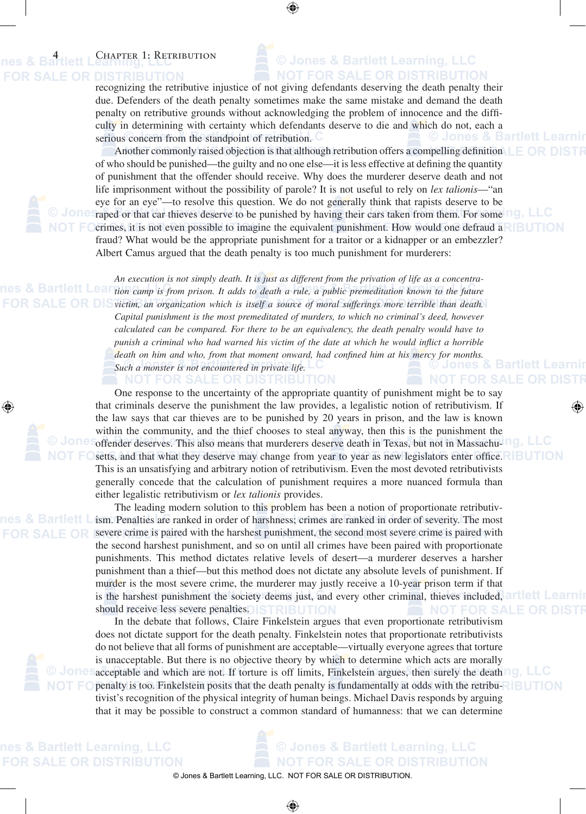recognizing the retributive injustice of not giving defendants deserving the death penalty their due. Defenders of the death penalty sometimes make the same mistake and demand the death penalty on retributive grounds without acknowledging the problem of innocence and the difficulty in determining with certainty which defendants deserve to die and which do not, each a serious concern from the standpoint of retribution.

Another commonly raised objection is that although retribution offers a compelling definition of who should be punished—the guilty and no one else—it is less effective at defining the quantity of punishment that the offender should receive. Why does the murderer deserve death and not life imprisonment without the possibility of parole? It is not useful to rely on *lex talionis*—"an eye for an eye"—to resolve this question. We do not generally think that rapists deserve to be raped or that car thieves deserve to be punished by having their cars taken from them. For some crimes, it is not even possible to imagine the equivalent punishment. How would one defraud a fraud? What would be the appropriate punishment for a traitor or a kidnapper or an embezzler? Albert Camus argued that the death penalty is too much punishment for murderers:

*An execution is not simply death. It is just as different from the privation of life as a concentration camp is from prison. It adds to death a rule, a public premeditation known to the future* victim, an organization which is itself a source of moral sufferings more terrible than death. *Capital punishment is the most premeditated of murders, to which no criminal's deed, however calculated can be compared. For there to be an equivalency, the death penalty would have to punish a criminal who had warned his victim of the date at which he would inflict a horrible death on him and who, from that moment onward, had confined him at his mercy for months.*  **Such a monster is not encountered in private life. © Jones & Bartlett Learning, LLC**

> One response to the uncertainty of the appropriate quantity of punishment might be to say that criminals deserve the punishment the law provides, a legalistic notion of retributivism. If the law says that car thieves are to be punished by 20 years in prison, and the law is known within the community, and the thief chooses to steal anyway, then this is the punishment the offender deserves. This also means that murderers deserve death in Texas, but not in Massachusetts, and that what they deserve may change from year to year as new legislators enter office. This is an unsatisfying and arbitrary notion of retributivism. Even the most devoted retributivists generally concede that the calculation of punishment requires a more nuanced formula than either legalistic retributivism or *lex talionis* provides.

The leading modern solution to this problem has been a notion of proportionate retributivism. Penalties are ranked in order of harshness; crimes are ranked in order of severity. The most severe crime is paired with the harshest punishment, the second most severe crime is paired with the second harshest punishment, and so on until all crimes have been paired with proportionate punishments. This method dictates relative levels of desert—a murderer deserves a harsher punishment than a thief—but this method does not dictate any absolute levels of punishment. If murder is the most severe crime, the murderer may justly receive a 10-year prison term if that is the harshest punishment the society deems just, and every other criminal, thieves included, should receive less severe penalties.

In the debate that follows, Claire Finkelstein argues that even proportionate retributivism does not dictate support for the death penalty. Finkelstein notes that proportionate retributivists do not believe that all forms of punishment are acceptable—virtually everyone agrees that torture is unacceptable. But there is no objective theory by which to determine which acts are morally acceptable and which are not. If torture is off limits, Finkelstein argues, then surely the death penalty is too. Finkelstein posits that the death penalty is fundamentally at odds with the retributivist's recognition of the physical integrity of human beings. Michael Davis responds by arguing that it may be possible to construct a common standard of humanness: that we can determine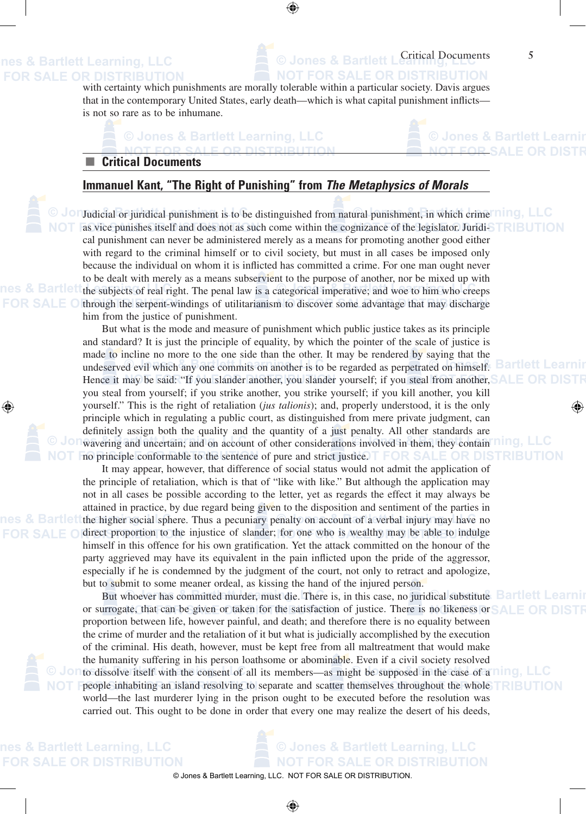with certainty which punishments are morally tolerable within a particular society. Davis argues that in the contemporary United States, early death—which is what capital punishment inflicts is not so rare as to be inhumane.

#### **Critical Documents** <u>Note</u> that the sales of the sales of the sales of the sales of the sales of the sales of the sales of the sales of the sales of the sales of the sales of the sales of the sales of the sales of the sales of the sales of th

## **Immanuel Kant, "The Right of Punishing" from** *The Metaphysics of Morals*

Judicial or juridical punishment is to be distinguished from natural punishment, in which crime as vice punishes itself and does not as such come within the cognizance of the legislator. Juridical punishment can never be administered merely as a means for promoting another good either with regard to the criminal himself or to civil society, but must in all cases be imposed only because the individual on whom it is inflicted has committed a crime. For one man ought never to be dealt with merely as a means subservient to the purpose of another, nor be mixed up with the subjects of real right. The penal law is a categorical imperative; and woe to him who creeps through the serpent-windings of utilitarianism to discover some advantage that may discharge him from the justice of punishment.

> But what is the mode and measure of punishment which public justice takes as its principle and standard? It is just the principle of equality, by which the pointer of the scale of justice is made to incline no more to the one side than the other. It may be rendered by saying that the undeserved evil which any one commits on another is to be regarded as perpetrated on himself. Hence it may be said: "If you slander another, you slander yourself; if you steal from another, you steal from yourself; if you strike another, you strike yourself; if you kill another, you kill yourself." This is the right of retaliation (*jus talionis*); and, properly understood, it is the only principle which in regulating a public court, as distinguished from mere private judgment, can definitely assign both the quality and the quantity of a just penalty. All other standards are wavering and uncertain; and on account of other considerations involved in them, they contain no principle conformable to the sentence of pure and strict justice. **NOTE:** NOTE:  $\mathbf{N} = \mathbf{N} \times \mathbf{N}$

It may appear, however, that difference of social status would not admit the application of the principle of retaliation, which is that of "like with like." But although the application may not in all cases be possible according to the letter, yet as regards the effect it may always be attained in practice, by due regard being given to the disposition and sentiment of the parties in the higher social sphere. Thus a pecuniary penalty on account of a verbal injury may have no direct proportion to the injustice of slander; for one who is wealthy may be able to indulge himself in this offence for his own gratification. Yet the attack committed on the honour of the party aggrieved may have its equivalent in the pain inflicted upon the pride of the aggressor, especially if he is condemned by the judgment of the court, not only to retract and apologize, but to submit to some meaner ordeal, as kissing the hand of the injured person.

But whoever has committed murder, must die. There is, in this case, no juridical substitute or surrogate, that can be given or taken for the satisfaction of justice. There is no likeness or proportion between life, however painful, and death; and therefore there is no equality between the crime of murder and the retaliation of it but what is judicially accomplished by the execution of the criminal. His death, however, must be kept free from all maltreatment that would make the humanity suffering in his person loathsome or abominable. Even if a civil society resolved to dissolve itself with the consent of all its members—as might be supposed in the case of a people inhabiting an island resolving to separate and scatter themselves throughout the whole world—the last murderer lying in the prison ought to be executed before the resolution was carried out. This ought to be done in order that every one may realize the desert of his deeds,

**NOT FOR SALE OR DISTRIBUTION**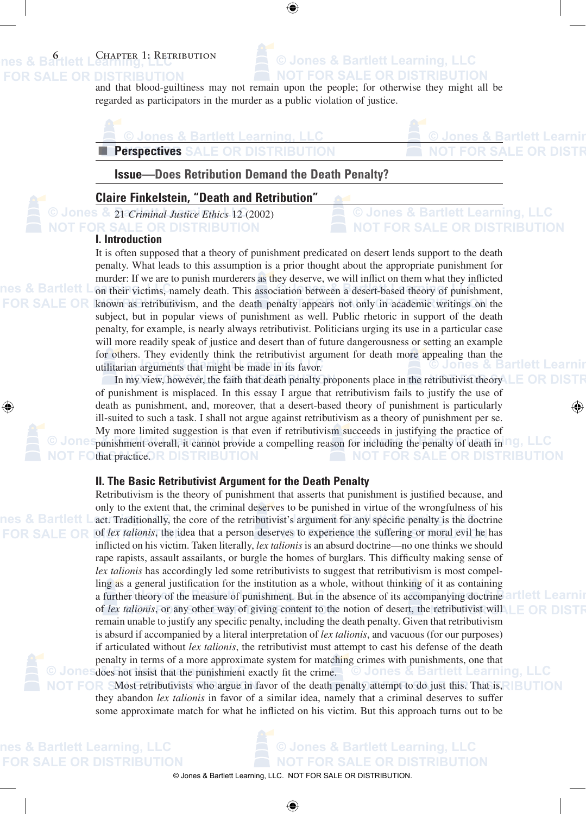and that blood-guiltiness may not remain upon the people; for otherwise they might all be regarded as participators in the murder as a public violation of justice.

**© Jones & Bartlett Learning, LLC**

# **Perspectives**

# **Issue—Does Retribution Demand the Death Penalty?**

## **Claire Finkelstein, "Death and Retribution"**

**© Jones & Bartlett Learning, LLC**

21 *Criminal Justice Ethics* 12 (2002)

#### **I. Introduction**

It is often supposed that a theory of punishment predicated on desert lends support to the death penalty. What leads to this assumption is a prior thought about the appropriate punishment for murder: If we are to punish murderers as they deserve, we will inflict on them what they inflicted on their victims, namely death. This association between a desert-based theory of punishment, known as retributivism, and the death penalty appears not only in academic writings on the subject, but in popular views of punishment as well. Public rhetoric in support of the death penalty, for example, is nearly always retributivist. Politicians urging its use in a particular case will more readily speak of justice and desert than of future dangerousness or setting an example for others. They evidently think the retributivist argument for death more appealing than the utilitarian arguments that might be made in its favor.  $\overline{L}$   $\overline{L}$ 

> In my view, however, the faith that death penalty proponents place in the retributivist theory of punishment is misplaced. In this essay I argue that retributivism fails to justify the use of death as punishment, and, moreover, that a desert-based theory of punishment is particularly ill-suited to such a task. I shall not argue against retributivism as a theory of punishment per se. My more limited suggestion is that even if retributivism succeeds in justifying the practice of punishment overall, it cannot provide a compelling reason for including the penalty of death in that practice.

#### **II. The Basic Retributivist Argument for the Death Penalty**

Retributivism is the theory of punishment that asserts that punishment is justified because, and only to the extent that, the criminal deserves to be punished in virtue of the wrongfulness of his act. Traditionally, the core of the retributivist's argument for any specific penalty is the doctrine of lex talionis, the idea that a person deserves to experience the suffering or moral evil he has inflicted on his victim. Taken literally, *lex talionis* is an absurd doctrine—no one thinks we should rape rapists, assault assailants, or burgle the homes of burglars. This difficulty making sense of *lex talionis* has accordingly led some retributivists to suggest that retributivism is most compelling as a general justification for the institution as a whole, without thinking of it as containing a further theory of the measure of punishment. But in the absence of its accompanying doctrine of lex talionis, or any other way of giving content to the notion of desert, the retributivist will remain unable to justify any specific penalty, including the death penalty. Given that retributivism is absurd if accompanied by a literal interpretation of *lex talionis*, and vacuous (for our purposes) if articulated without *lex talionis*, the retributivist must attempt to cast his defense of the death penalty in terms of a more approximate system for matching crimes with punishments, one that does not insist that the punishment exactly fit the crime. **© Jones & Bartlett Learning, LLC**

> Most retributivists who argue in favor of the death penalty attempt to do just this. That is, they abandon *lex talionis* in favor of a similar idea, namely that a criminal deserves to suffer some approximate match for what he inflicted on his victim. But this approach turns out to be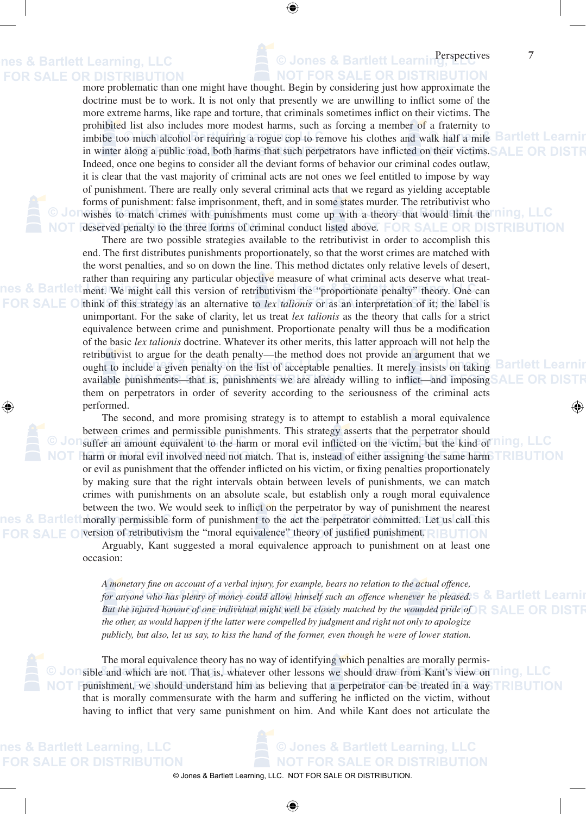more problematic than one might have thought. Begin by considering just how approximate the doctrine must be to work. It is not only that presently we are unwilling to inflict some of the more extreme harms, like rape and torture, that criminals sometimes inflict on their victims. The prohibited list also includes more modest harms, such as forcing a member of a fraternity to imbibe too much alcohol or requiring a rogue cop to remove his clothes and walk half a mile in winter along a public road, both harms that such perpetrators have inflicted on their victims. Indeed, once one begins to consider all the deviant forms of behavior our criminal codes outlaw, it is clear that the vast majority of criminal acts are not ones we feel entitled to impose by way of punishment. There are really only several criminal acts that we regard as yielding acceptable forms of punishment: false imprisonment, theft, and in some states murder. The retributivist who wishes to match crimes with punishments must come up with a theory that would limit the deserved penalty to the three forms of criminal conduct listed above.

There are two possible strategies available to the retributivist in order to accomplish this end. The first distributes punishments proportionately, so that the worst crimes are matched with the worst penalties, and so on down the line. This method dictates only relative levels of desert, rather than requiring any particular objective measure of what criminal acts deserve what treatment. We might call this version of retributivism the "proportionate penalty" theory. One can think of this strategy as an alternative to lex talionis or as an interpretation of it; the label is unimportant. For the sake of clarity, let us treat *lex talionis* as the theory that calls for a strict equivalence between crime and punishment. Proportionate penalty will thus be a modification of the basic *lex talionis* doctrine. Whatever its other merits, this latter approach will not help the retributivist to argue for the death penalty—the method does not provide an argument that we ought to include a given penalty on the list of acceptable penalties. It merely insists on taking available punishments—that is, punishments we are already willing to inflict—and imposing them on perpetrators in order of severity according to the seriousness of the criminal acts performed.

The second, and more promising strategy is to attempt to establish a moral equivalence between crimes and permissible punishments. This strategy asserts that the perpetrator should suffer an amount equivalent to the harm or moral evil inflicted on the victim, but the kind of harm or moral evil involved need not match. That is, instead of either assigning the same harm or evil as punishment that the offender inflicted on his victim, or fixing penalties proportionately by making sure that the right intervals obtain between levels of punishments, we can match crimes with punishments on an absolute scale, but establish only a rough moral equivalence between the two. We would seek to inflict on the perpetrator by way of punishment the nearest morally permissible form of punishment to the act the perpetrator committed. Let us call this version of retributivism the "moral equivalence" theory of justified punishment.

Arguably, Kant suggested a moral equivalence approach to punishment on at least one occasion:

*A monetary fine on account of a verbal injury, for example, bears no relation to the actual offence,*  for anyone who has plenty of money could allow himself such an offence whenever he pleased. But the injured honour of one individual might well be closely matched by the wounded pride of *the other, as would happen if the latter were compelled by judgment and right not only to apologize publicly, but also, let us say, to kiss the hand of the former, even though he were of lower station.* 

The moral equivalence theory has no way of identifying which penalties are morally permissible and which are not. That is, whatever other lessons we should draw from Kant's view on punishment, we should understand him as believing that a perpetrator can be treated in a way that is morally commensurate with the harm and suffering he inflicted on the victim, without having to inflict that very same punishment on him. And while Kant does not articulate the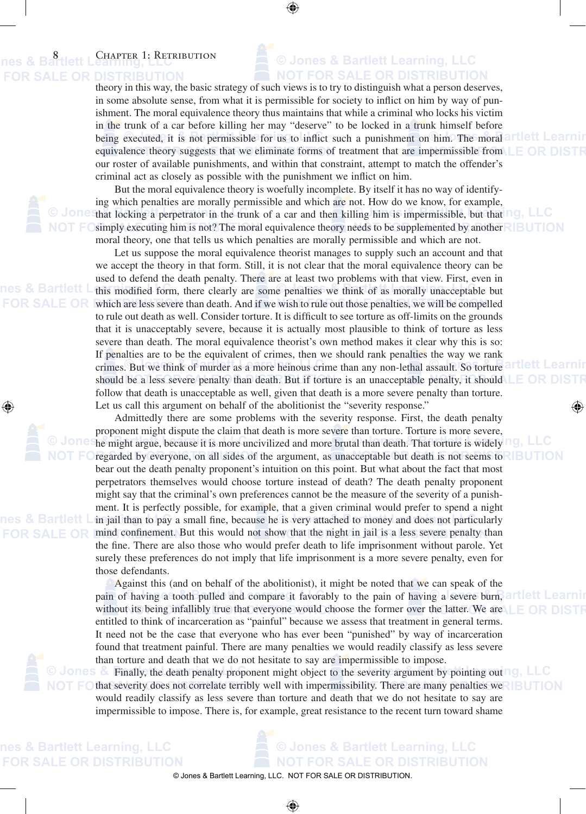theory in this way, the basic strategy of such views is to try to distinguish what a person deserves, in some absolute sense, from what it is permissible for society to inflict on him by way of punishment. The moral equivalence theory thus maintains that while a criminal who locks his victim in the trunk of a car before killing her may "deserve" to be locked in a trunk himself before being executed, it is not permissible for us to inflict such a punishment on him. The moral equivalence theory suggests that we eliminate forms of treatment that are impermissible from our roster of available punishments, and within that constraint, attempt to match the offender's criminal act as closely as possible with the punishment we inflict on him.

But the moral equivalence theory is woefully incomplete. By itself it has no way of identifying which penalties are morally permissible and which are not. How do we know, for example, that locking a perpetrator in the trunk of a car and then killing him is impermissible, but that simply executing him is not? The moral equivalence theory needs to be supplemented by another moral theory, one that tells us which penalties are morally permissible and which are not.

Let us suppose the moral equivalence theorist manages to supply such an account and that we accept the theory in that form. Still, it is not clear that the moral equivalence theory can be used to defend the death penalty. There are at least two problems with that view. First, even in this modified form, there clearly are some penalties we think of as morally unacceptable but which are less severe than death. And if we wish to rule out those penalties, we will be compelled to rule out death as well. Consider torture. It is difficult to see torture as off-limits on the grounds that it is unacceptably severe, because it is actually most plausible to think of torture as less severe than death. The moral equivalence theorist's own method makes it clear why this is so: If penalties are to be the equivalent of crimes, then we should rank penalties the way we rank crimes. But we think of murder as a more heinous crime than any non-lethal assault. So torture should be a less severe penalty than death. But if torture is an unacceptable penalty, it should follow that death is unacceptable as well, given that death is a more severe penalty than torture. Let us call this argument on behalf of the abolitionist the "severity response."

Admittedly there are some problems with the severity response. First, the death penalty proponent might dispute the claim that death is more severe than torture. Torture is more severe, he might argue, because it is more uncivilized and more brutal than death. That torture is widely regarded by everyone, on all sides of the argument, as unacceptable but death is not seems to bear out the death penalty proponent's intuition on this point. But what about the fact that most perpetrators themselves would choose torture instead of death? The death penalty proponent might say that the criminal's own preferences cannot be the measure of the severity of a punishment. It is perfectly possible, for example, that a given criminal would prefer to spend a night in jail than to pay a small fine, because he is very attached to money and does not particularly mind confinement. But this would not show that the night in jail is a less severe penalty than the fine. There are also those who would prefer death to life imprisonment without parole. Yet surely these preferences do not imply that life imprisonment is a more severe penalty, even for those defendants.

> Against this (and on behalf of the abolitionist), it might be noted that we can speak of the pain of having a tooth pulled and compare it favorably to the pain of having a severe burn, without its being infallibly true that everyone would choose the former over the latter. We are entitled to think of incarceration as "painful" because we assess that treatment in general terms. It need not be the case that everyone who has ever been "punished" by way of incarceration found that treatment painful. There are many penalties we would readily classify as less severe than torture and death that we do not hesitate to say are impermissible to impose.

Finally, the death penalty proponent might object to the severity argument by pointing out that severity does not correlate terribly well with impermissibility. There are many penalties we would readily classify as less severe than torture and death that we do not hesitate to say are impermissible to impose. There is, for example, great resistance to the recent turn toward shame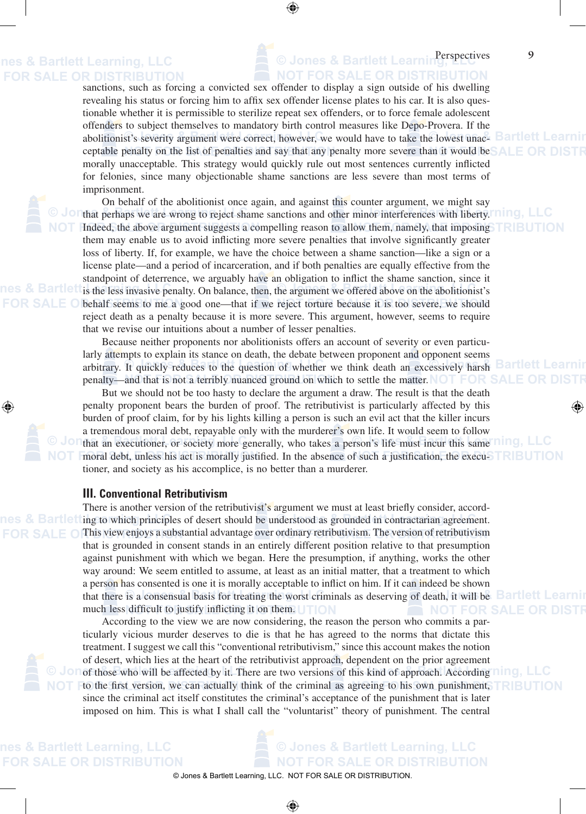sanctions, such as forcing a convicted sex offender to display a sign outside of his dwelling revealing his status or forcing him to affix sex offender license plates to his car. It is also questionable whether it is permissible to sterilize repeat sex offenders, or to force female adolescent offenders to subject themselves to mandatory birth control measures like Depo-Provera. If the abolitionist's severity argument were correct, however, we would have to take the lowest unacceptable penalty on the list of penalties and say that any penalty more severe than it would be morally unacceptable. This strategy would quickly rule out most sentences currently inflicted for felonies, since many objectionable shame sanctions are less severe than most terms of imprisonment.

On behalf of the abolitionist once again, and against this counter argument, we might say that perhaps we are wrong to reject shame sanctions and other minor interferences with liberty. Indeed, the above argument suggests a compelling reason to allow them, namely, that imposing them may enable us to avoid inflicting more severe penalties that involve significantly greater loss of liberty. If, for example, we have the choice between a shame sanction—like a sign or a license plate—and a period of incarceration, and if both penalties are equally effective from the standpoint of deterrence, we arguably have an obligation to inflict the shame sanction, since it is the less invasive penalty. On balance, then, the argument we offered above on the abolitionist's behalf seems to me a good one—that if we reject torture because it is too severe, we should reject death as a penalty because it is more severe. This argument, however, seems to require that we revise our intuitions about a number of lesser penalties.

> Because neither proponents nor abolitionists offers an account of severity or even particularly attempts to explain its stance on death, the debate between proponent and opponent seems arbitrary. It quickly reduces to the question of whether we think death an excessively harsh penalty—and that is not a terribly nuanced ground on which to settle the matter.

But we should not be too hasty to declare the argument a draw. The result is that the death penalty proponent bears the burden of proof. The retributivist is particularly affected by this burden of proof claim, for by his lights killing a person is such an evil act that the killer incurs a tremendous moral debt, repayable only with the murderer's own life. It would seem to follow that an executioner, or society more generally, who takes a person's life must incur this same moral debt, unless his act is morally justified. In the absence of such a justification, the executioner, and society as his accomplice, is no better than a murderer.

#### **III. Conventional Retributivism**

There is another version of the retributivist's argument we must at least briefly consider, according to which principles of desert should be understood as grounded in contractarian agreement. This view enjoys a substantial advantage over ordinary retributivism. The version of retributivism that is grounded in consent stands in an entirely different position relative to that presumption against punishment with which we began. Here the presumption, if anything, works the other way around: We seem entitled to assume, at least as an initial matter, that a treatment to which a person has consented is one it is morally acceptable to inflict on him. If it can indeed be shown that there is a consensual basis for treating the worst criminals as deserving of death, it will be much less difficult to justify inflicting it on them.

According to the view we are now considering, the reason the person who commits a particularly vicious murder deserves to die is that he has agreed to the norms that dictate this treatment. I suggest we call this "conventional retributivism," since this account makes the notion of desert, which lies at the heart of the retributivist approach, dependent on the prior agreement of those who will be affected by it. There are two versions of this kind of approach. According to the first version, we can actually think of the criminal as agreeing to his own punishment, since the criminal act itself constitutes the criminal's acceptance of the punishment that is later imposed on him. This is what I shall call the "voluntarist" theory of punishment. The central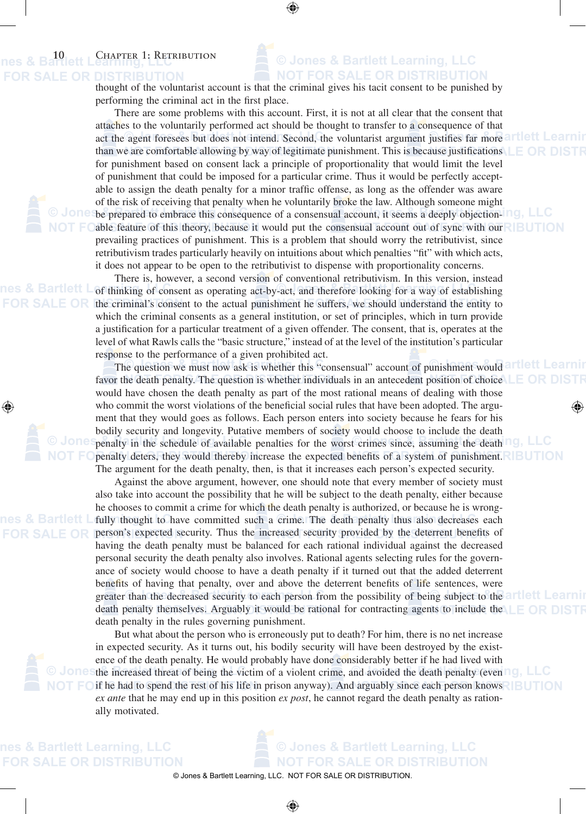thought of the voluntarist account is that the criminal gives his tacit consent to be punished by performing the criminal act in the first place.

There are some problems with this account. First, it is not at all clear that the consent that attaches to the voluntarily performed act should be thought to transfer to a consequence of that act the agent foresees but does not intend. Second, the voluntarist argument justifies far more than we are comfortable allowing by way of legitimate punishment. This is because justifications for punishment based on consent lack a principle of proportionality that would limit the level of punishment that could be imposed for a particular crime. Thus it would be perfectly acceptable to assign the death penalty for a minor traffic offense, as long as the offender was aware of the risk of receiving that penalty when he voluntarily broke the law. Although someone might be prepared to embrace this consequence of a consensual account, it seems a deeply objectionable feature of this theory, because it would put the consensual account out of sync with our prevailing practices of punishment. This is a problem that should worry the retributivist, since retributivism trades particularly heavily on intuitions about which penalties "fit" with which acts, it does not appear to be open to the retributivist to dispense with proportionality concerns.

There is, however, a second version of conventional retributivism. In this version, instead of thinking of consent as operating act-by-act, and therefore looking for a way of establishing the criminal's consent to the actual punishment he suffers, we should understand the entity to which the criminal consents as a general institution, or set of principles, which in turn provide a justification for a particular treatment of a given offender. The consent, that is, operates at the level of what Rawls calls the "basic structure," instead of at the level of the institution's particular response to the performance of a given prohibited act.

The question we must now ask is whether this "consensual" account of punishment would favor the death penalty. The question is whether individuals in an antecedent position of choice would have chosen the death penalty as part of the most rational means of dealing with those who commit the worst violations of the beneficial social rules that have been adopted. The argument that they would goes as follows. Each person enters into society because he fears for his bodily security and longevity. Putative members of society would choose to include the death penalty in the schedule of available penalties for the worst crimes since, assuming the death penalty deters, they would thereby increase the expected benefits of a system of punishment. The argument for the death penalty, then, is that it increases each person's expected security.

Against the above argument, however, one should note that every member of society must also take into account the possibility that he will be subject to the death penalty, either because he chooses to commit a crime for which the death penalty is authorized, or because he is wrongfully thought to have committed such a crime. The death penalty thus also decreases each person's expected security. Thus the increased security provided by the deterrent benefits of having the death penalty must be balanced for each rational individual against the decreased personal security the death penalty also involves. Rational agents selecting rules for the governance of society would choose to have a death penalty if it turned out that the added deterrent benefits of having that penalty, over and above the deterrent benefits of life sentences, were greater than the decreased security to each person from the possibility of being subject to the death penalty themselves. Arguably it would be rational for contracting agents to include the death penalty in the rules governing punishment.

> But what about the person who is erroneously put to death? For him, there is no net increase in expected security. As it turns out, his bodily security will have been destroyed by the existence of the death penalty. He would probably have done considerably better if he had lived with the increased threat of being the victim of a violent crime, and avoided the death penalty (even if he had to spend the rest of his life in prison anyway). And arguably since each person knows *ex ante* that he may end up in this position *ex post*, he cannot regard the death penalty as rationally motivated.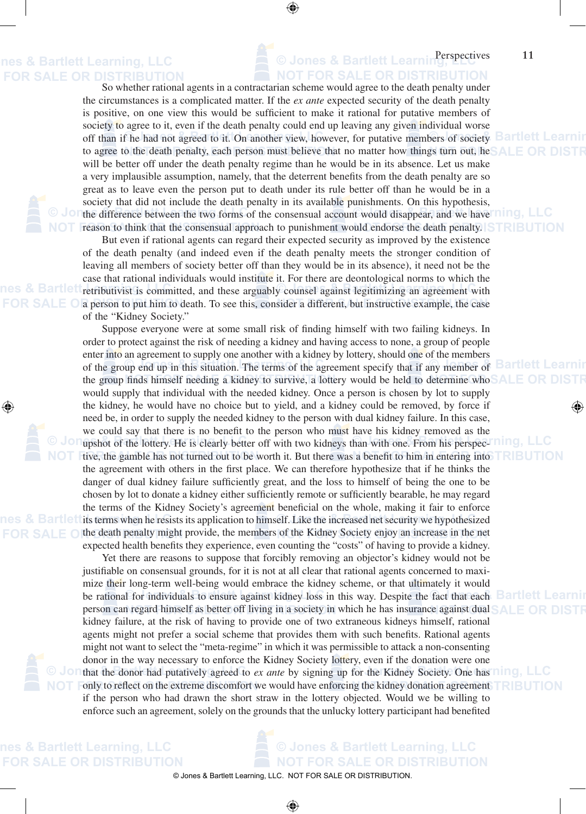So whether rational agents in a contractarian scheme would agree to the death penalty under the circumstances is a complicated matter. If the *ex ante* expected security of the death penalty is positive, on one view this would be sufficient to make it rational for putative members of society to agree to it, even if the death penalty could end up leaving any given individual worse off than if he had not agreed to it. On another view, however, for putative members of society to agree to the death penalty, each person must believe that no matter how things turn out, he will be better off under the death penalty regime than he would be in its absence. Let us make a very implausible assumption, namely, that the deterrent benefits from the death penalty are so great as to leave even the person put to death under its rule better off than he would be in a society that did not include the death penalty in its available punishments. On this hypothesis, the difference between the two forms of the consensual account would disappear, and we have reason to think that the consensual approach to punishment would endorse the death penalty.

But even if rational agents can regard their expected security as improved by the existence of the death penalty (and indeed even if the death penalty meets the stronger condition of leaving all members of society better off than they would be in its absence), it need not be the case that rational individuals would institute it. For there are deontological norms to which the retributivist is committed, and these arguably counsel against legitimizing an agreement with a person to put him to death. To see this, consider a different, but instructive example, the case of the "Kidney Society."

Suppose everyone were at some small risk of finding himself with two failing kidneys. In order to protect against the risk of needing a kidney and having access to none, a group of people enter into an agreement to supply one another with a kidney by lottery, should one of the members of the group end up in this situation. The terms of the agreement specify that if any member of the group finds himself needing a kidney to survive, a lottery would be held to determine who would supply that individual with the needed kidney. Once a person is chosen by lot to supply the kidney, he would have no choice but to yield, and a kidney could be removed, by force if need be, in order to supply the needed kidney to the person with dual kidney failure. In this case, we could say that there is no benefit to the person who must have his kidney removed as the upshot of the lottery. He is clearly better off with two kidneys than with one. From his perspective, the gamble has not turned out to be worth it. But there was a benefit to him in entering into the agreement with others in the first place. We can therefore hypothesize that if he thinks the danger of dual kidney failure sufficiently great, and the loss to himself of being the one to be chosen by lot to donate a kidney either sufficiently remote or sufficiently bearable, he may regard the terms of the Kidney Society's agreement beneficial on the whole, making it fair to enforce its terms when he resists its application to himself. Like the increased net security we hypothesized the death penalty might provide, the members of the Kidney Society enjoy an increase in the net expected health benefits they experience, even counting the "costs" of having to provide a kidney.

> Yet there are reasons to suppose that forcibly removing an objector's kidney would not be justifiable on consensual grounds, for it is not at all clear that rational agents concerned to maximize their long-term well-being would embrace the kidney scheme, or that ultimately it would be rational for individuals to ensure against kidney loss in this way. Despite the fact that each person can regard himself as better off living in a society in which he has insurance against dual kidney failure, at the risk of having to provide one of two extraneous kidneys himself, rational agents might not prefer a social scheme that provides them with such benefits. Rational agents might not want to select the "meta-regime" in which it was permissible to attack a non-consenting donor in the way necessary to enforce the Kidney Society lottery, even if the donation were one that the donor had putatively agreed to *ex ante* by signing up for the Kidney Society. One has only to reflect on the extreme discomfort we would have enforcing the kidney donation agreement if the person who had drawn the short straw in the lottery objected. Would we be willing to enforce such an agreement, solely on the grounds that the unlucky lottery participant had benefited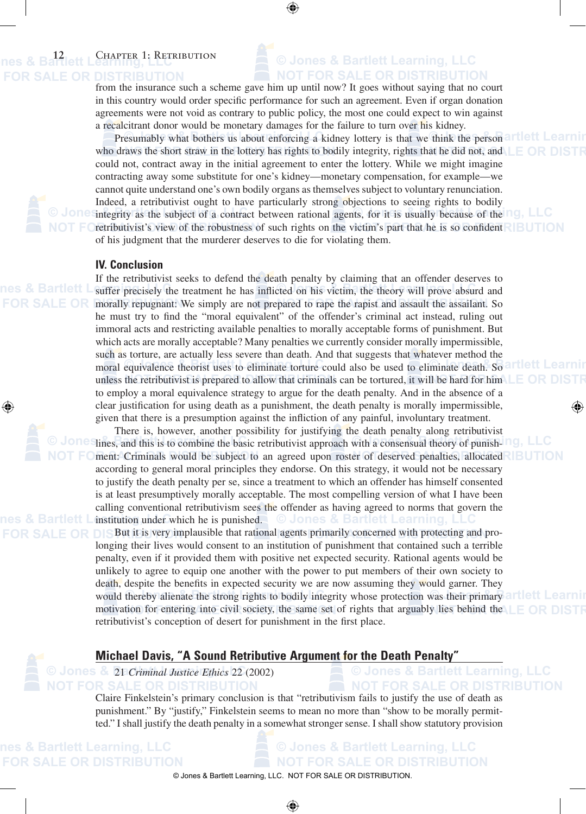from the insurance such a scheme gave him up until now? It goes without saying that no court in this country would order specific performance for such an agreement. Even if organ donation agreements were not void as contrary to public policy, the most one could expect to win against a recalcitrant donor would be monetary damages for the failure to turn over his kidney.

Presumably what bothers us about enforcing a kidney lottery is that we think the person who draws the short straw in the lottery has rights to bodily integrity, rights that he did not, and could not, contract away in the initial agreement to enter the lottery. While we might imagine contracting away some substitute for one's kidney—monetary compensation, for example—we cannot quite understand one's own bodily organs as themselves subject to voluntary renunciation. Indeed, a retributivist ought to have particularly strong objections to seeing rights to bodily integrity as the subject of a contract between rational agents, for it is usually because of the retributivist's view of the robustness of such rights on the victim's part that he is so confident of his judgment that the murderer deserves to die for violating them.

#### **IV. Conclusion**

If the retributivist seeks to defend the death penalty by claiming that an offender deserves to suffer precisely the treatment he has inflicted on his victim, the theory will prove absurd and morally repugnant: We simply are not prepared to rape the rapist and assault the assailant. So he must try to find the "moral equivalent" of the offender's criminal act instead, ruling out immoral acts and restricting available penalties to morally acceptable forms of punishment. But which acts are morally acceptable? Many penalties we currently consider morally impermissible, such as torture, are actually less severe than death. And that suggests that whatever method the moral equivalence theorist uses to eliminate torture could also be used to eliminate death. So unless the retributivist is prepared to allow that criminals can be tortured, it will be hard for him to employ a moral equivalence strategy to argue for the death penalty. And in the absence of a clear justification for using death as a punishment, the death penalty is morally impermissible, given that there is a presumption against the infliction of any painful, involuntary treatment.

There is, however, another possibility for justifying the death penalty along retributivist lines, and this is to combine the basic retributivist approach with a consensual theory of punishment: Criminals would be subject to an agreed upon roster of deserved penalties, allocated according to general moral principles they endorse. On this strategy, it would not be necessary to justify the death penalty per se, since a treatment to which an offender has himself consented is at least presumptively morally acceptable. The most compelling version of what I have been calling conventional retributivism sees the offender as having agreed to norms that govern the institution under which he is punished.

But it is very implausible that rational agents primarily concerned with protecting and prolonging their lives would consent to an institution of punishment that contained such a terrible penalty, even if it provided them with positive net expected security. Rational agents would be unlikely to agree to equip one another with the power to put members of their own society to death, despite the benefits in expected security we are now assuming they would garner. They would thereby alienate the strong rights to bodily integrity whose protection was their primary motivation for entering into civil society, the same set of rights that arguably lies behind the retributivist's conception of desert for punishment in the first place.

## **Michael Davis, "A Sound Retributive Argument for the Death Penalty"**

21 *Criminal Justice Ethics* 22 (2002)

Claire Finkelstein's primary conclusion is that "retributivism fails to justify the use of death as punishment." By "justify," Finkelstein seems to mean no more than "show to be morally permitted." I shall justify the death penalty in a somewhat stronger sense. I shall show statutory provision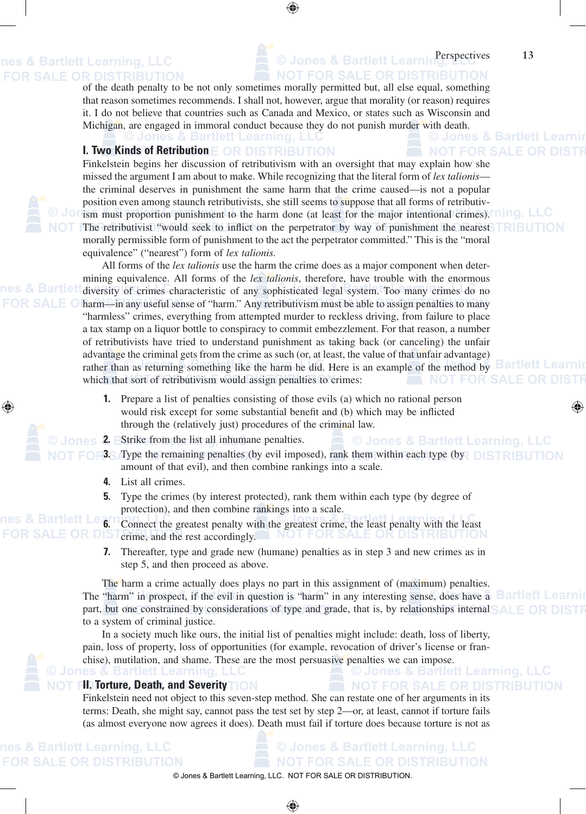of the death penalty to be not only sometimes morally permitted but, all else equal, something that reason sometimes recommends. I shall not, however, argue that morality (or reason) requires it. I do not believe that countries such as Canada and Mexico, or states such as Wisconsin and Michigan, are engaged in immoral conduct because they do not punish murder with death. **© Jones & Bartlett Learning, LLC**

# **I. Two Kinds of Retribution**

Finkelstein begins her discussion of retributivism with an oversight that may explain how she missed the argument I am about to make. While recognizing that the literal form of *lex talionis* the criminal deserves in punishment the same harm that the crime caused—is not a popular position even among staunch retributivists, she still seems to suppose that all forms of retributivism must proportion punishment to the harm done (at least for the major intentional crimes). The retributivist "would seek to inflict on the perpetrator by way of punishment the nearest morally permissible form of punishment to the act the perpetrator committed." This is the "moral equivalence" ("nearest") form of *lex talionis.*

All forms of the *lex talionis* use the harm the crime does as a major component when determining equivalence. All forms of the *lex talionis*, therefore, have trouble with the enormous diversity of crimes characteristic of any sophisticated legal system. Too many crimes do no harm—in any useful sense of "harm." Any retributivism must be able to assign penalties to many "harmless" crimes, everything from attempted murder to reckless driving, from failure to place a tax stamp on a liquor bottle to conspiracy to commit embezzlement. For that reason, a number of retributivists have tried to understand punishment as taking back (or canceling) the unfair advantage the criminal gets from the crime as such (or, at least, the value of that unfair advantage) rather than as returning something like the harm he did. Here is an example of the method by which that sort of retributivism would assign penalties to crimes:

- **1.** Prepare a list of penalties consisting of those evils (a) which no rational person would risk except for some substantial benefit and (b) which may be inflicted through the (relatively just) procedures of the criminal law.
- **2.** Strike from the list all inhumane penalties.
- **3.** Type the remaining penalties (by evil imposed), rank them within each type (by amount of that evil), and then combine rankings into a scale.
	- **4.** List all crimes.
	- **5.** Type the crimes (by interest protected), rank them within each type (by degree of protection), and then combine rankings into a scale.
- **6.** Connect the greatest penalty with the greatest crime, the least penalty with the least crime, and the rest accordingly. **NOTE**  $\frac{1}{2}$ 
	- **7.** Thereafter, type and grade new (humane) penalties as in step 3 and new crimes as in step 5, and then proceed as above.

The harm a crime actually does plays no part in this assignment of (maximum) penalties. The "harm" in prospect, if the evil in question is "harm" in any interesting sense, does have a part, but one constrained by considerations of type and grade, that is, by relationships internal to a system of criminal justice.

In a society much like ours, the initial list of penalties might include: death, loss of liberty, pain, loss of property, loss of opportunities (for example, revocation of driver's license or franchise), mutilation, and shame. These are the most persuasive penalties we can impose. **© Jones & Bartlett Learning, LLC**

## **II. Torture, Death, and Severity**

Finkelstein need not object to this seven-step method. She can restate one of her arguments in its terms: Death, she might say, cannot pass the test set by step 2—or, at least, cannot if torture fails (as almost everyone now agrees it does). Death must fail if torture does because torture is not as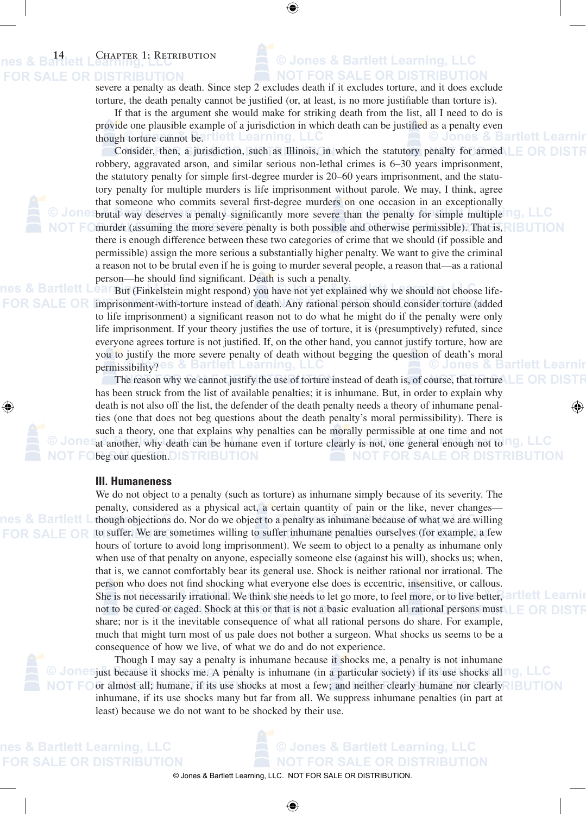severe a penalty as death. Since step 2 excludes death if it excludes torture, and it does exclude torture, the death penalty cannot be justified (or, at least, is no more justifiable than torture is).

If that is the argument she would make for striking death from the list, all I need to do is provide one plausible example of a jurisdiction in which death can be justified as a penalty even though torture cannot be. **© Jones & Bartlett Learning, LLC**

Consider, then, a jurisdiction, such as Illinois, in which the statutory penalty for armed robbery, aggravated arson, and similar serious non-lethal crimes is 6–30 years imprisonment, the statutory penalty for simple first-degree murder is 20–60 years imprisonment, and the statutory penalty for multiple murders is life imprisonment without parole. We may, I think, agree that someone who commits several first-degree murders on one occasion in an exceptionally brutal way deserves a penalty significantly more severe than the penalty for simple multiple murder (assuming the more severe penalty is both possible and otherwise permissible). That is, there is enough difference between these two categories of crime that we should (if possible and permissible) assign the more serious a substantially higher penalty. We want to give the criminal a reason not to be brutal even if he is going to murder several people, a reason that—as a rational person—he should find significant. Death is such a penalty.

But (Finkelstein might respond) you have not yet explained why we should not choose lifeimprisonment-with-torture instead of death. Any rational person should consider torture (added to life imprisonment) a significant reason not to do what he might do if the penalty were only life imprisonment. If your theory justifies the use of torture, it is (presumptively) refuted, since everyone agrees torture is not justified. If, on the other hand, you cannot justify torture, how are you to justify the more severe penalty of death without begging the question of death's moral permissibility?

> The reason why we cannot justify the use of torture instead of death is, of course, that torture has been struck from the list of available penalties; it is inhumane. But, in order to explain why death is not also off the list, the defender of the death penalty needs a theory of inhumane penalties (one that does not beg questions about the death penalty's moral permissibility). There is such a theory, one that explains why penalties can be morally permissible at one time and not at another, why death can be humane even if torture clearly is not, one general enough not to beg our question.

#### **III. Humaneness**

We do not object to a penalty (such as torture) as inhumane simply because of its severity. The penalty, considered as a physical act, a certain quantity of pain or the like, never changes though objections do. Nor do we object to a penalty as inhumane because of what we are willing to suffer. We are sometimes willing to suffer inhumane penalties ourselves (for example, a few hours of torture to avoid long imprisonment). We seem to object to a penalty as inhumane only when use of that penalty on anyone, especially someone else (against his will), shocks us; when, that is, we cannot comfortably bear its general use. Shock is neither rational nor irrational. The person who does not find shocking what everyone else does is eccentric, insensitive, or callous. She is not necessarily irrational. We think she needs to let go more, to feel more, or to live better, not to be cured or caged. Shock at this or that is not a basic evaluation all rational persons must share; nor is it the inevitable consequence of what all rational persons do share. For example, much that might turn most of us pale does not bother a surgeon. What shocks us seems to be a consequence of how we live, of what we do and do not experience.

> Though I may say a penalty is inhumane because it shocks me, a penalty is not inhumane just because it shocks me. A penalty is inhumane (in a particular society) if its use shocks all or almost all; humane, if its use shocks at most a few; and neither clearly humane nor clearly inhumane, if its use shocks many but far from all. We suppress inhumane penalties (in part at least) because we do not want to be shocked by their use.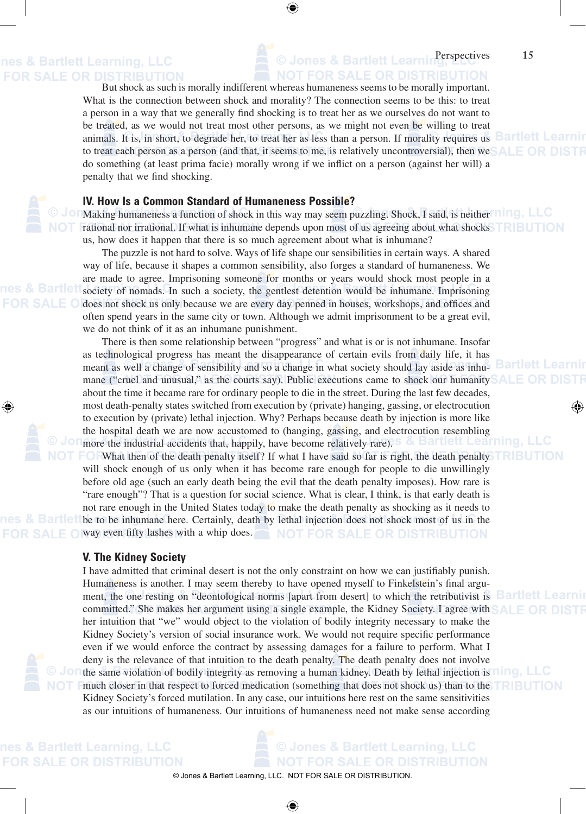But shock as such is morally indifferent whereas humaneness seems to be morally important. What is the connection between shock and morality? The connection seems to be this: to treat a person in a way that we generally find shocking is to treat her as we ourselves do not want to be treated, as we would not treat most other persons, as we might not even be willing to treat animals. It is, in short, to degrade her, to treat her as less than a person. If morality requires us to treat each person as a person (and that, it seems to me, is relatively uncontroversial), then we do something (at least prima facie) morally wrong if we inflict on a person (against her will) a penalty that we find shocking.

## **IV. How Is a Common Standard of Humaneness Possible?**

Making humaneness a function of shock in this way may seem puzzling. Shock, I said, is neither rational nor irrational. If what is inhumane depends upon most of us agreeing about what shocks us, how does it happen that there is so much agreement about what is inhumane?

The puzzle is not hard to solve. Ways of life shape our sensibilities in certain ways. A shared way of life, because it shapes a common sensibility, also forges a standard of humaneness. We are made to agree. Imprisoning someone for months or years would shock most people in a society of nomads. In such a society, the gentlest detention would be inhumane. Imprisoning does not shock us only because we are every day penned in houses, workshops, and offices and often spend years in the same city or town. Although we admit imprisonment to be a great evil, we do not think of it as an inhumane punishment.

> There is then some relationship between "progress" and what is or is not inhumane. Insofar as technological progress has meant the disappearance of certain evils from daily life, it has meant as well a change of sensibility and so a change in what society should lay aside as inhumane ("cruel and unusual," as the courts say). Public executions came to shock our humanity about the time it became rare for ordinary people to die in the street. During the last few decades, most death-penalty states switched from execution by (private) hanging, gassing, or electrocution to execution by (private) lethal injection. Why? Perhaps because death by injection is more like the hospital death we are now accustomed to (hanging, gassing, and electrocution resembling more the industrial accidents that, happily, have become relatively rare).

What then of the death penalty itself? If what I have said so far is right, the death penalty will shock enough of us only when it has become rare enough for people to die unwillingly before old age (such an early death being the evil that the death penalty imposes). How rare is "rare enough"? That is a question for social science. What is clear, I think, is that early death is not rare enough in the United States today to make the death penalty as shocking as it needs to be to be inhumane here. Certainly, death by lethal injection does not shock most of us in the way even fifty lashes with a whip does.

#### **V. The Kidney Society**

I have admitted that criminal desert is not the only constraint on how we can justifiably punish. Humaneness is another. I may seem thereby to have opened myself to Finkelstein's final argument, the one resting on "deontological norms [apart from desert] to which the retributivist is committed." She makes her argument using a single example, the Kidney Society. I agree with her intuition that "we" would object to the violation of bodily integrity necessary to make the Kidney Society's version of social insurance work. We would not require specific performance even if we would enforce the contract by assessing damages for a failure to perform. What I deny is the relevance of that intuition to the death penalty. The death penalty does not involve the same violation of bodily integrity as removing a human kidney. Death by lethal injection is much closer in that respect to forced medication (something that does not shock us) than to the Kidney Society's forced mutilation. In any case, our intuitions here rest on the same sensitivities as our intuitions of humaneness. Our intuitions of humaneness need not make sense according